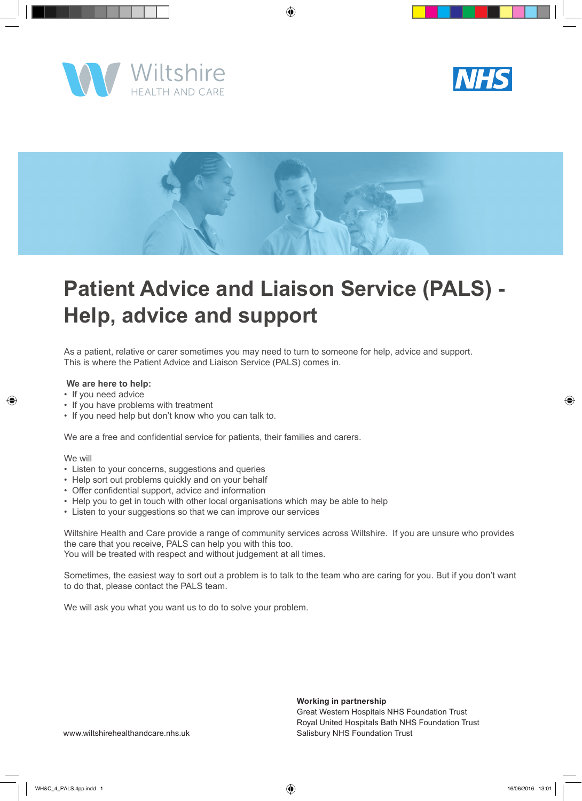





# **Patient Advice and Liaison Service (PALS) - Help, advice and support**

As a patient, relative or carer sometimes you may need to turn to someone for help, advice and support. This is where the Patient Advice and Liaison Service (PALS) comes in.

#### **We are here to help:**

- If you need advice
- If you have problems with treatment
- If you need help but don't know who you can talk to.

We are a free and confidential service for patients, their families and carers.

#### We will

- Listen to your concerns, suggestions and queries
- Help sort out problems quickly and on your behalf
- Offer confidential support, advice and information
- Help you to get in touch with other local organisations which may be able to help
- Listen to your suggestions so that we can improve our services

Wiltshire Health and Care provide a range of community services across Wiltshire. If you are unsure who provides the care that you receive, PALS can help you with this too. You will be treated with respect and without judgement at all times.

Sometimes, the easiest way to sort out a problem is to talk to the team who are caring for you. But if you don't want to do that, please contact the PALS team.

We will ask you what you want us to do to solve your problem.

**Working in partnership** Great Western Hospitals NHS Foundation Trust Royal United Hospitals Bath NHS Foundation Trust Salisbury NHS Foundation Trust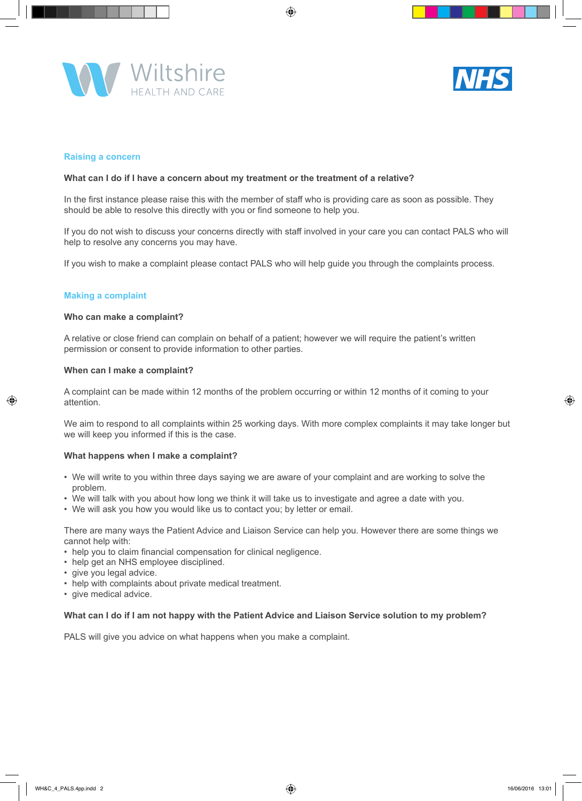



#### **Raising a concern**

#### **What can I do if I have a concern about my treatment or the treatment of a relative?**

In the first instance please raise this with the member of staff who is providing care as soon as possible. They should be able to resolve this directly with you or find someone to help you.

If you do not wish to discuss your concerns directly with staff involved in your care you can contact PALS who will help to resolve any concerns you may have.

If you wish to make a complaint please contact PALS who will help guide you through the complaints process.

#### **Making a complaint**

#### **Who can make a complaint?**

A relative or close friend can complain on behalf of a patient; however we will require the patient's written permission or consent to provide information to other parties.

#### **When can I make a complaint?**

A complaint can be made within 12 months of the problem occurring or within 12 months of it coming to your attention.

We aim to respond to all complaints within 25 working days. With more complex complaints it may take longer but we will keep you informed if this is the case.

#### **What happens when I make a complaint?**

- We will write to you within three days saying we are aware of your complaint and are working to solve the problem.
- We will talk with you about how long we think it will take us to investigate and agree a date with you.
- We will ask you how you would like us to contact you; by letter or email.

There are many ways the Patient Advice and Liaison Service can help you. However there are some things we cannot help with:

- help you to claim financial compensation for clinical negligence.
- help get an NHS employee disciplined.
- give you legal advice.
- help with complaints about private medical treatment.
- give medical advice.

#### **What can I do if I am not happy with the Patient Advice and Liaison Service solution to my problem?**

PALS will give you advice on what happens when you make a complaint.